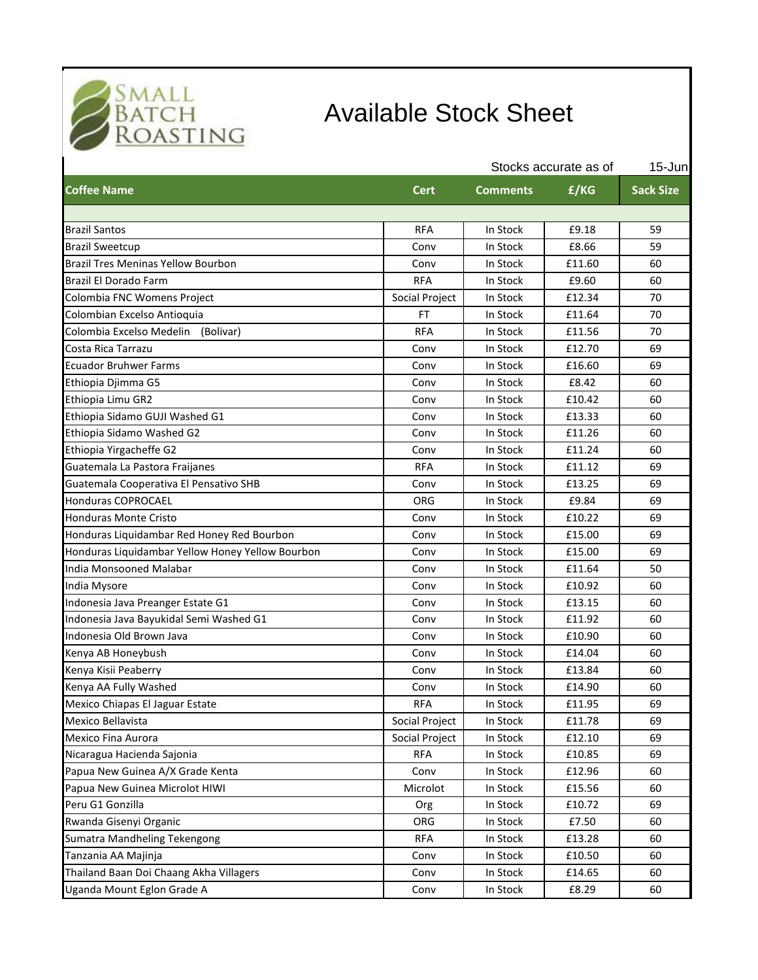

| <b>Coffee Name</b>                               |                | Stocks accurate as of |        | $15 - Jun$       |  |
|--------------------------------------------------|----------------|-----------------------|--------|------------------|--|
|                                                  | <b>Cert</b>    | <b>Comments</b>       | £/KG   | <b>Sack Size</b> |  |
|                                                  |                |                       |        |                  |  |
| <b>Brazil Santos</b>                             | <b>RFA</b>     | In Stock              | £9.18  | 59               |  |
| <b>Brazil Sweetcup</b>                           | Conv           | In Stock              | £8.66  | 59               |  |
| <b>Brazil Tres Meninas Yellow Bourbon</b>        | Conv           | In Stock              | £11.60 | 60               |  |
| Brazil El Dorado Farm                            | <b>RFA</b>     | In Stock              | £9.60  | 60               |  |
| Colombia FNC Womens Project                      | Social Project | In Stock              | £12.34 | 70               |  |
| Colombian Excelso Antioquia                      | FT             | In Stock              | £11.64 | 70               |  |
| Colombia Excelso Medelin<br>(Bolivar)            | <b>RFA</b>     | In Stock              | £11.56 | 70               |  |
| Costa Rica Tarrazu                               | Conv           | In Stock              | £12.70 | 69               |  |
| <b>Ecuador Bruhwer Farms</b>                     | Conv           | In Stock              | £16.60 | 69               |  |
| Ethiopia Djimma G5                               | Conv           | In Stock              | £8.42  | 60               |  |
| Ethiopia Limu GR2                                | Conv           | In Stock              | £10.42 | 60               |  |
| Ethiopia Sidamo GUJI Washed G1                   | Conv           | In Stock              | £13.33 | 60               |  |
| Ethiopia Sidamo Washed G2                        | Conv           | In Stock              | £11.26 | 60               |  |
| Ethiopia Yirgacheffe G2                          | Conv           | In Stock              | £11.24 | 60               |  |
| Guatemala La Pastora Fraijanes                   | <b>RFA</b>     | In Stock              | £11.12 | 69               |  |
| Guatemala Cooperativa El Pensativo SHB           | Conv           | In Stock              | £13.25 | 69               |  |
| <b>Honduras COPROCAEL</b>                        | ORG            | In Stock              | £9.84  | 69               |  |
| <b>Honduras Monte Cristo</b>                     | Conv           | In Stock              | £10.22 | 69               |  |
| Honduras Liquidambar Red Honey Red Bourbon       | Conv           | In Stock              | £15.00 | 69               |  |
| Honduras Liquidambar Yellow Honey Yellow Bourbon | Conv           | In Stock              | £15.00 | 69               |  |
| India Monsooned Malabar                          | Conv           | In Stock              | £11.64 | 50               |  |
| India Mysore                                     | Conv           | In Stock              | £10.92 | 60               |  |
| Indonesia Java Preanger Estate G1                | Conv           | In Stock              | £13.15 | 60               |  |
| Indonesia Java Bayukidal Semi Washed G1          | Conv           | In Stock              | £11.92 | 60               |  |
| Indonesia Old Brown Java                         | Conv           | In Stock              | £10.90 | 60               |  |
| Kenya AB Honeybush                               | Conv           | In Stock              | £14.04 | 60               |  |
| Kenya Kisii Peaberry                             | Conv           | In Stock              | £13.84 | 60               |  |
| Kenya AA Fully Washed                            | Conv           | In Stock              | £14.90 | 60               |  |
| Mexico Chiapas El Jaguar Estate                  | <b>RFA</b>     | In Stock              | £11.95 | 69               |  |
| Mexico Bellavista                                | Social Project | In Stock              | £11.78 | 69               |  |
| Mexico Fina Aurora                               | Social Project | In Stock              | £12.10 | 69               |  |
| Nicaragua Hacienda Sajonia                       | <b>RFA</b>     | In Stock              | £10.85 | 69               |  |
| Papua New Guinea A/X Grade Kenta                 | Conv           | In Stock              | £12.96 | 60               |  |
| Papua New Guinea Microlot HIWI                   | Microlot       | In Stock              | £15.56 | 60               |  |
| Peru G1 Gonzilla                                 | Org            | In Stock              | £10.72 | 69               |  |
| Rwanda Gisenyi Organic                           | ORG            | In Stock              | £7.50  | 60               |  |
| Sumatra Mandheling Tekengong                     | RFA            | In Stock              | £13.28 | 60               |  |
| Tanzania AA Majinja                              | Conv           | In Stock              | £10.50 | 60               |  |
| Thailand Baan Doi Chaang Akha Villagers          | Conv           | In Stock              | £14.65 | 60               |  |
| Uganda Mount Eglon Grade A                       | Conv           | In Stock              | £8.29  | 60               |  |